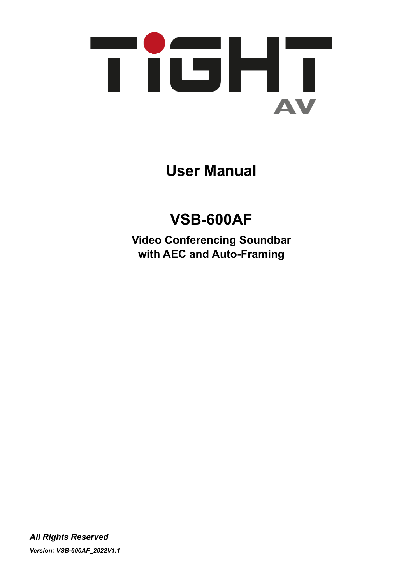

**User Manual**

# **VSB-600AF**

**Video Conferencing Soundbar with AEC and Auto-Framing**

*All Rights Reserved Version: VSB-600AF\_2022V1.1*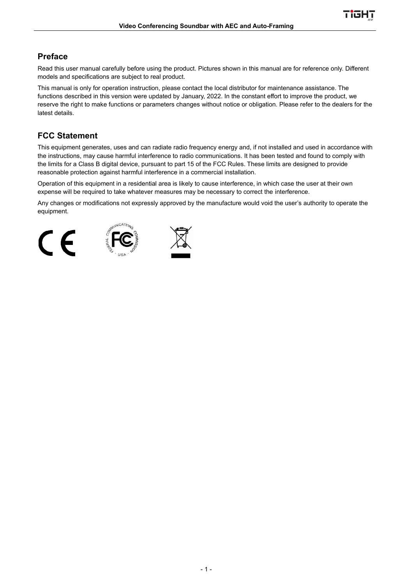Tick

## **Preface**

Read this user manual carefully before using the product. Pictures shown in this manual are for reference only. Different models and specifications are subject to real product.

This manual is only for operation instruction, please contact the local distributor for maintenance assistance. The functions described in this version were updated by January, 2022. In the constant effort to improve the product, we reserve the right to make functions or parameters changes without notice or obligation. Please refer to the dealers for the latest details.

## **FCC Statement**

This equipment generates, uses and can radiate radio frequency energy and, if not installed and used in accordance with the instructions, may cause harmful interference to radio communications. It has been tested and found to comply with the limits for a Class B digital device, pursuant to part 15 of the FCC Rules. These limits are designed to provide reasonable protection against harmful interference in a commercial installation.

Operation of this equipment in a residential area is likely to cause interference, in which case the user at their own expense will be required to take whatever measures may be necessary to correct the interference.

Any changes or modifications not expressly approved by the manufacture would void the user's authority to operate the equipment.





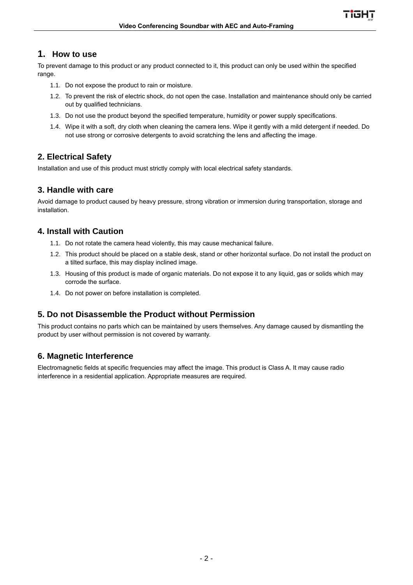## **1. How to use**

To prevent damage to this product or any product connected to it, this product can only be used within the specified range.

- 1.1. Do not expose the product to rain or moisture.
- 1.2. To prevent the risk of electric shock, do not open the case. Installation and maintenance should only be carried out by qualified technicians.
- 1.3. Do not use the product beyond the specified temperature, humidity or power supply specifications.
- 1.4. Wipe it with a soft, dry cloth when cleaning the camera lens. Wipe it gently with a mild detergent if needed. Do not use strong or corrosive detergents to avoid scratching the lens and affecting the image.

## **2. Electrical Safety**

Installation and use of this product must strictly comply with local electrical safety standards.

## **3. Handle with care**

Avoid damage to product caused by heavy pressure, strong vibration or immersion during transportation, storage and installation.

## **4. Install with Caution**

- 1.1. Do not rotate the camera head violently, this may cause mechanical failure.
- 1.2. This product should be placed on a stable desk, stand or other horizontal surface. Do not install the product on a tilted surface, this may display inclined image.
- 1.3. Housing of this product is made of organic materials. Do not expose it to any liquid, gas or solids which may corrode the surface.
- 1.4. Do not power on before installation is completed.

## **5. Do not Disassemble the Product without Permission**

This product contains no parts which can be maintained by users themselves. Any damage caused by dismantling the product by user without permission is not covered by warranty.

## **6. Magnetic Interference**

Electromagnetic fields at specific frequencies may affect the image. This product is Class A. It may cause radio interference in a residential application. Appropriate measures are required.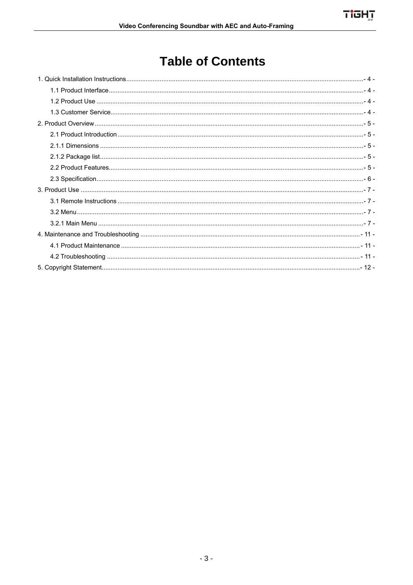## **Table of Contents**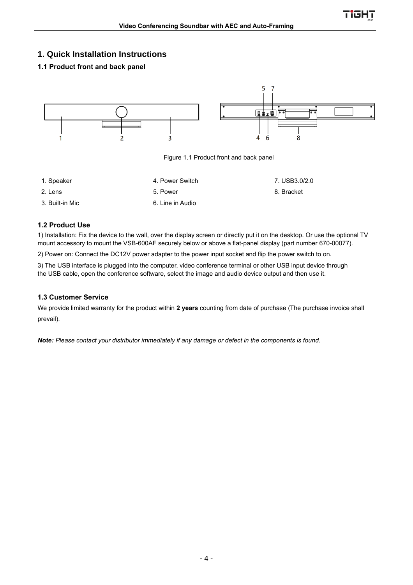## <span id="page-4-0"></span>**1. Quick Installation Instructions**

#### <span id="page-4-1"></span>**1.1 Product front and back panel**



#### <span id="page-4-2"></span>**1.2 Product Use**

1) Installation: Fix the device to the wall, over the display screen or directly put it on the desktop. Or use the optional TV mount accessory to mount the VSB-600AF securely below or above a flat-panel display (part number 670-00077).

2) Power on: Connect the DC12V power adapter to the power input socket and flip the power switch to on.

3) The USB interface is plugged into the computer, video conference terminal or other USB input device through the USB cable, open the conference software, select the image and audio device output and then use it.

#### <span id="page-4-3"></span>**1.3 Customer Service**

We provide limited warranty for the product within **2 years** counting from date of purchase (The purchase invoice shall prevail).

*Note: Please contact your distributor immediately if any damage or defect in the components is found.*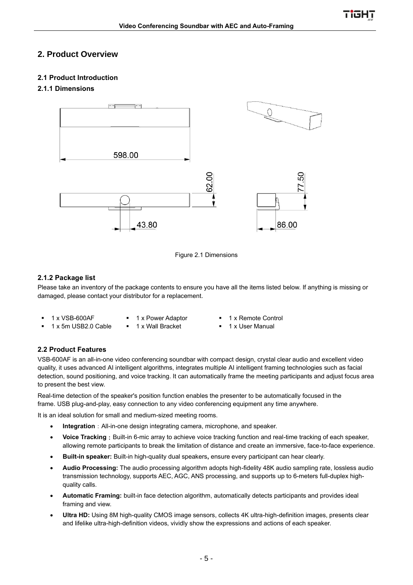## <span id="page-5-0"></span>**2. Product Overview**

#### <span id="page-5-1"></span>**2.1 Product Introduction**

#### <span id="page-5-2"></span>**2.1.1 Dimensions**





#### <span id="page-5-3"></span>**2.1.2 Package list**

Please take an inventory of the package contents to ensure you have all the items listed below. If anything is missing or damaged, please contact your distributor for a replacement.

- 
- 1 x 5m USB2.0 Cable 1 x Wall Bracket 1 x User Manual
- 1 x VSB-600AF  1 x Power Adaptor 1 x Remote Control
	-

#### <span id="page-5-4"></span>**2.2 Product Features**

VSB-600AF is an all-in-one video conferencing soundbar with compact design, crystal clear audio and excellent video quality, it uses advanced AI intelligent algorithms, integrates multiple AI intelligent framing technologies such as facial detection, sound positioning, and voice tracking. It can automatically frame the meeting participants and adjust focus area to present the best view.

Real-time detection of the speaker's position function enables the presenter to be automatically focused in the frame. USB plug-and-play, easy connection to any video conferencing equipment any time anywhere.

It is an ideal solution for small and medium-sized meeting rooms.

- **Integration**: All-in-one design integrating camera, microphone, and speaker.
- Voice Tracking: Built-in 6-mic array to achieve voice tracking function and real-time tracking of each speaker, allowing remote participants to break the limitation of distance and create an immersive, face-to-face experience.
- **Built-in speaker:** Built-in high-quality dual speakers**,** ensure every participant can hear clearly.
- **Audio Processing:** The audio processing algorithm adopts high-fidelity 48K audio sampling rate, lossless audio transmission technology, supports AEC, AGC, ANS processing, and supports up to 6-meters full-duplex highquality calls.
- **Automatic Framing:** built-in face detection algorithm, automatically detects participants and provides ideal framing and view.
- **Ultra HD:** Using 8M high-quality CMOS image sensors, collects 4K ultra-high-definition images, presents clear and lifelike ultra-high-definition videos, vividly show the expressions and actions of each speaker.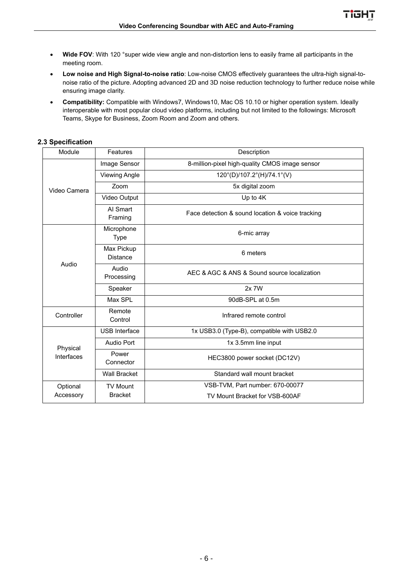- **Wide FOV**: With 120 °super wide view angle and non-distortion lens to easily frame all participants in the meeting room.
- **Low noise and High Signal-to-noise ratio**: Low-noise CMOS effectively guarantees the ultra-high signal-tonoise ratio of the picture. Adopting advanced 2D and 3D noise reduction technology to further reduce noise while ensuring image clarity.
- **Compatibility:** Compatible with Windows7, Windows10, Mac OS 10.10 or higher operation system. Ideally interoperable with most popular cloud video platforms, including but not limited to the followings: Microsoft Teams, Skype for Business, Zoom Room and Zoom and others.

#### <span id="page-6-0"></span>**2.3 Specification**

| Module       | Features                      | Description                                      |  |  |  |
|--------------|-------------------------------|--------------------------------------------------|--|--|--|
|              | Image Sensor                  | 8-million-pixel high-quality CMOS image sensor   |  |  |  |
|              | <b>Viewing Angle</b>          | 120°(D)/107.2°(H)/74.1°(V)                       |  |  |  |
| Video Camera | Zoom                          | 5x digital zoom                                  |  |  |  |
|              | Video Output                  | Up to 4K                                         |  |  |  |
|              | Al Smart<br>Framing           | Face detection & sound location & voice tracking |  |  |  |
|              | Microphone<br><b>Type</b>     | 6-mic array                                      |  |  |  |
|              | Max Pickup<br><b>Distance</b> | 6 meters                                         |  |  |  |
| Audio        | Audio<br>Processing           | AEC & AGC & ANS & Sound source localization      |  |  |  |
|              | Speaker                       | 2x 7W                                            |  |  |  |
|              | Max SPL                       | 90dB-SPL at 0.5m                                 |  |  |  |
| Controller   | Remote<br>Control             | Infrared remote control                          |  |  |  |
|              | <b>USB</b> Interface          | 1x USB3.0 (Type-B), compatible with USB2.0       |  |  |  |
| Physical     | <b>Audio Port</b>             | 1x 3.5mm line input                              |  |  |  |
| Interfaces   | Power<br>Connector            | HEC3800 power socket (DC12V)                     |  |  |  |
|              | <b>Wall Bracket</b>           | Standard wall mount bracket                      |  |  |  |
| Optional     | <b>TV Mount</b>               | VSB-TVM, Part number: 670-00077                  |  |  |  |
| Accessory    | <b>Bracket</b>                | TV Mount Bracket for VSB-600AF                   |  |  |  |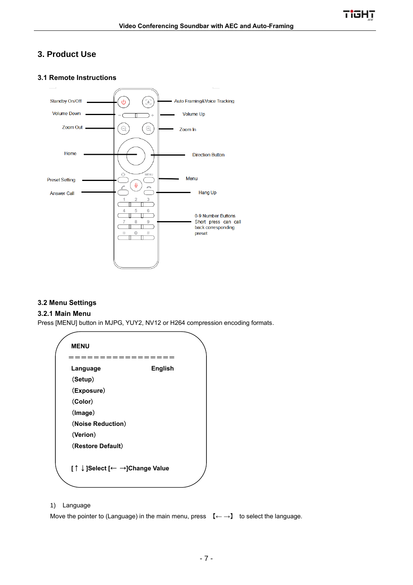<u>Tight</u>

## <span id="page-7-0"></span>**3. Product Use**

#### <span id="page-7-1"></span>**3.1 Remote Instructions**



#### <span id="page-7-2"></span>**3.2 Menu Settings**

#### <span id="page-7-3"></span>**3.2.1 Main Menu**

Press [MENU] button in MJPG, YUY2, NV12 or H264 compression encoding formats.

| <b>MENU</b>                    |                |
|--------------------------------|----------------|
|                                |                |
| Language                       | <b>English</b> |
| (Setup)                        |                |
| (Exposure)                     |                |
| (Color)                        |                |
| (Image)                        |                |
| (Noise Reduction)              |                |
| (Verion)                       |                |
| (Restore Default)              |                |
|                                |                |
| [ ↑ ↓]Select [← →]Change Value |                |

#### 1) Language

Move the pointer to (Language) in the main menu, press 【**← →**】 to select the language.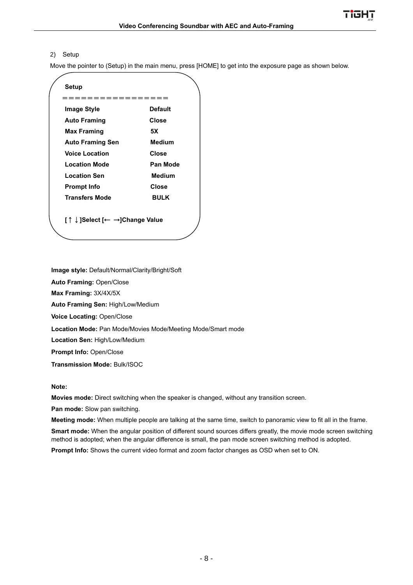#### 2) Setup

Move the pointer to (Setup) in the main menu, press [HOME] to get into the exposure page as shown below.

| Setup                          |                |
|--------------------------------|----------------|
|                                | =========      |
| <b>Image Style</b>             | <b>Default</b> |
| <b>Auto Framing</b>            | Close          |
| Max Framing                    | 5Χ             |
| <b>Auto Framing Sen</b>        | <b>Medium</b>  |
| <b>Voice Location</b>          | Close          |
| <b>Location Mode</b>           | Pan Mode       |
| <b>Location Sen</b>            | <b>Medium</b>  |
| <b>Prompt Info</b>             | Close          |
| <b>Transfers Mode</b>          | <b>BULK</b>    |
|                                |                |
| [ ↑ ↓]Select [← →]Change Value |                |
|                                |                |

**Image style:** Default/Normal/Clarity/Bright/Soft

**Auto Framing:** Open/Close

**Max Framing:** 3X/4X/5X

**Auto Framing Sen:** High/Low/Medium

**Voice Locating:** Open/Close

**Location Mode:** Pan Mode/Movies Mode/Meeting Mode/Smart mode

**Location Sen:** High/Low/Medium

**Prompt Info:** Open/Close

**Transmission Mode:** Bulk/ISOC

#### **Note:**

**Movies mode:** Direct switching when the speaker is changed, without any transition screen.

**Pan mode:** Slow pan switching.

**Meeting mode:** When multiple people are talking at the same time, switch to panoramic view to fit all in the frame.

**Smart mode:** When the angular position of different sound sources differs greatly, the movie mode screen switching method is adopted; when the angular difference is small, the pan mode screen switching method is adopted.

**Prompt Info:** Shows the current video format and zoom factor changes as OSD when set to ON.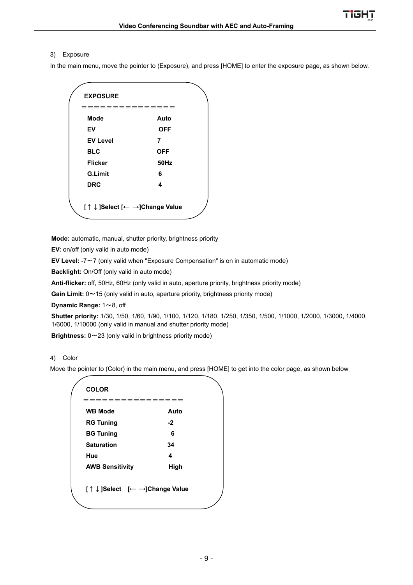#### 3) Exposure

In the main menu, move the pointer to (Exposure), and press [HOME] to enter the exposure page, as shown below.

| <b>EXPOSURE</b>              |             |
|------------------------------|-------------|
|                              |             |
| <b>Mode</b>                  | Auto        |
| EV                           | <b>OFF</b>  |
| <b>EV Level</b>              | 7           |
| <b>BLC</b>                   | <b>OFF</b>  |
| <b>Flicker</b>               | <b>50Hz</b> |
| <b>G.Limit</b>               | 6           |
| <b>DRC</b>                   | 4           |
|                              |             |
| [↑↓]Select [← →]Change Value |             |
|                              |             |

**Mode:** automatic, manual, shutter priority, brightness priority

**EV:** on/off (only valid in auto mode)

**EV Level:** -7~7 (only valid when "Exposure Compensation" is on in automatic mode)

**Backlight:** On/Off (only valid in auto mode)

**Anti-flicker:** off, 50Hz, 60Hz (only valid in auto, aperture priority, brightness priority mode)

Gain Limit:  $0 \sim 15$  (only valid in auto, aperture priority, brightness priority mode)

**Dynamic Range:** 1~8, off

**Shutter priority:** 1/30, 1/50, 1/60, 1/90, 1/100, 1/120, 1/180, 1/250, 1/350, 1/500, 1/1000, 1/2000, 1/3000, 1/4000, 1/6000, 1/10000 (only valid in manual and shutter priority mode)

**Brightness:** 0~23 (only valid in brightness priority mode)

#### 4) Color

Move the pointer to (Color) in the main menu, and press [HOME] to get into the color page, as shown below

| <b>COLOR</b>                 |      |
|------------------------------|------|
|                              |      |
| <b>WB Mode</b>               | Auto |
| <b>RG Tuning</b>             | $-2$ |
| <b>BG Tuning</b>             | 6    |
| <b>Saturation</b>            | 34   |
| Hue                          | 4    |
| <b>AWB Sensitivity</b>       | High |
|                              |      |
| [↑↓]Select [← →]Change Value |      |
|                              |      |
|                              |      |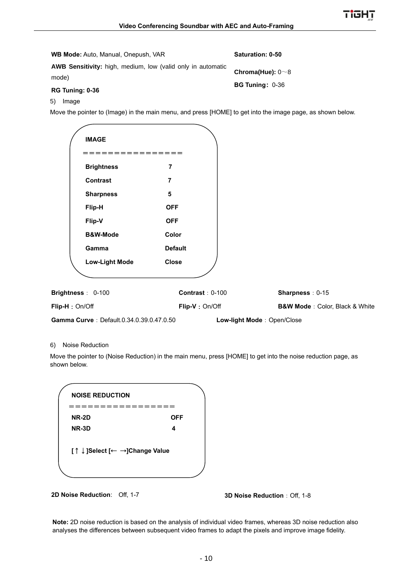|       | <b>WB Mode: Auto, Manual, Onepush, VAR</b> |                                                             | Saturation: 0-50                                                                                           |
|-------|--------------------------------------------|-------------------------------------------------------------|------------------------------------------------------------------------------------------------------------|
| mode) | RG Tuning: 0-36                            | AWB Sensitivity: high, medium, low (valid only in automatic | Chroma(Hue): $0 \sim 8$<br><b>BG Tuning: 0-36</b>                                                          |
| 5)    | Image                                      |                                                             |                                                                                                            |
|       | <b>IMAGE</b>                               |                                                             | Move the pointer to (Image) in the main menu, and press [HOME] to get into the image page, as shown below. |
|       | <b>Brightness</b>                          | 7                                                           |                                                                                                            |
|       | <b>Contrast</b>                            | 7                                                           |                                                                                                            |
|       | <b>Sharpness</b>                           | 5                                                           |                                                                                                            |
|       |                                            |                                                             |                                                                                                            |

| <b>IMAGE</b>      |                                          |                   |                            |                                            |
|-------------------|------------------------------------------|-------------------|----------------------------|--------------------------------------------|
|                   | =============                            |                   |                            |                                            |
| <b>Brightness</b> | $\overline{7}$                           |                   |                            |                                            |
| Contrast          | 7                                        |                   |                            |                                            |
| <b>Sharpness</b>  | 5                                        |                   |                            |                                            |
| Flip-H            | <b>OFF</b>                               |                   |                            |                                            |
| Flip-V            | <b>OFF</b>                               |                   |                            |                                            |
| B&W-Mode          | Color                                    |                   |                            |                                            |
| Gamma             | <b>Default</b>                           |                   |                            |                                            |
|                   | <b>Close</b><br><b>Low-Light Mode</b>    |                   |                            |                                            |
|                   |                                          |                   |                            |                                            |
| Brightness: 0-100 |                                          | Contrast: $0-100$ |                            | Sharpness: 0-15                            |
| Flip-H: On/Off    |                                          | Flip-V: On/Off    |                            | <b>B&amp;W Mode</b> : Color, Black & White |
|                   | Gamma Curve: Default.0.34.0.39.0.47.0.50 |                   | Low-light Mode: Open/Close |                                            |

#### 6) Noise Reduction

Move the pointer to (Noise Reduction) in the main menu, press [HOME] to get into the noise reduction page, as shown below.

| <b>NOISE REDUCTION</b>       |     |
|------------------------------|-----|
|                              |     |
| <b>NR-2D</b>                 | OFF |
| NR-3D                        | 4   |
| [↑↓]Select [← →]Change Value |     |
|                              |     |

**2D Noise Reduction:** Off, 1-7 **3D Noise Reduction**: Off, 1-8

**Note:** 2D noise reduction is based on the analysis of individual video frames, whereas 3D noise reduction also analyses the differences between subsequent video frames to adapt the pixels and improve image fidelity.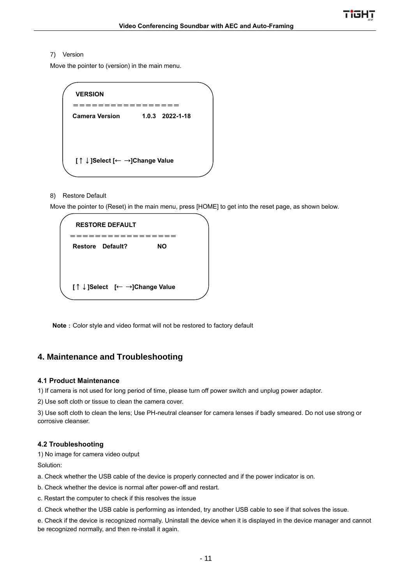#### 7) Version

Move the pointer to (version) in the main menu.

| <b>VERSION</b>               |                   |  |
|------------------------------|-------------------|--|
|                              |                   |  |
| <b>Camera Version</b>        | $1.0.3$ 2022-1-18 |  |
|                              |                   |  |
|                              |                   |  |
|                              |                   |  |
| [↑↓]Select [← →]Change Value |                   |  |
|                              |                   |  |
|                              |                   |  |

#### 8) Restore Default

 $\blacksquare$  Move the pointer to (Reset) in the main menu, press [HOME] to get into the reset page, as shown below.

| <b>RESTORE DEFAULT</b> |                         |                              |  |  |
|------------------------|-------------------------|------------------------------|--|--|
|                        | <b>Restore Default?</b> | NΟ                           |  |  |
|                        |                         |                              |  |  |
|                        |                         | [↑↓]Select [← →]Change Value |  |  |

**Note**: Color style and video format will not be restored to factory default

## <span id="page-11-0"></span>**4. Maintenance and Troubleshooting**

#### <span id="page-11-1"></span>**4.1 Product Maintenance**

1) If camera is not used for long period of time, please turn off power switch and unplug power adaptor.

2) Use soft cloth or tissue to clean the camera cover.

3) Use soft cloth to clean the lens; Use PH-neutral cleanser for camera lenses if badly smeared. Do not use strong or corrosive cleanser.

#### <span id="page-11-2"></span>**4.2 Troubleshooting**

1) No image for camera video output

Solution:

- a. Check whether the USB cable of the device is properly connected and if the power indicator is on.
- b. Check whether the device is normal after power-off and restart.
- c. Restart the computer to check if this resolves the issue
- d. Check whether the USB cable is performing as intended, try another USB cable to see if that solves the issue.

e. Check if the device is recognized normally. Uninstall the device when it is displayed in the device manager and cannot be recognized normally, and then re-install it again.